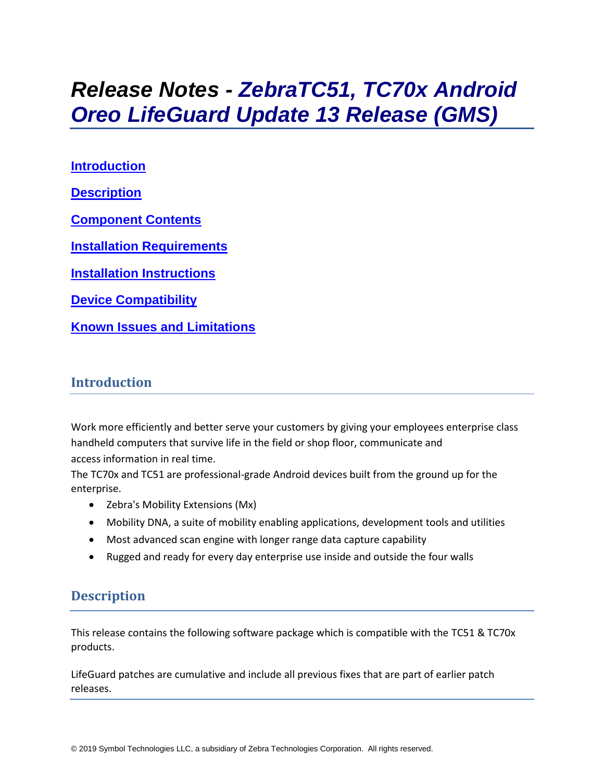# *Release Notes - ZebraTC51, TC70x Android Oreo LifeGuard Update 13 Release (GMS)*

**[Introduction](#page-0-0) [Description](#page-0-1) [Component Contents](#page-1-0) [Installation Requirements](#page-3-0) [Installation Instructions](#page-4-0) [Device Compatibility](#page-5-0) Known [Issues and Limitations](#page-6-0)**

### <span id="page-0-0"></span>**Introduction**

Work more efficiently and better serve your customers by giving your employees enterprise class handheld computers that survive life in the field or shop floor, communicate and access information in real time.

The TC70x and TC51 are professional-grade Android devices built from the ground up for the enterprise.

- Zebra's Mobility Extensions (Mx)
- Mobility DNA, a suite of mobility enabling applications, development tools and utilities
- Most advanced scan engine with longer range data capture capability
- <span id="page-0-1"></span>• Rugged and ready for every day enterprise use inside and outside the four walls

## **Description**

This release contains the following software package which is compatible with the TC51 & TC70x products.

LifeGuard patches are cumulative and include all previous fixes that are part of earlier patch releases.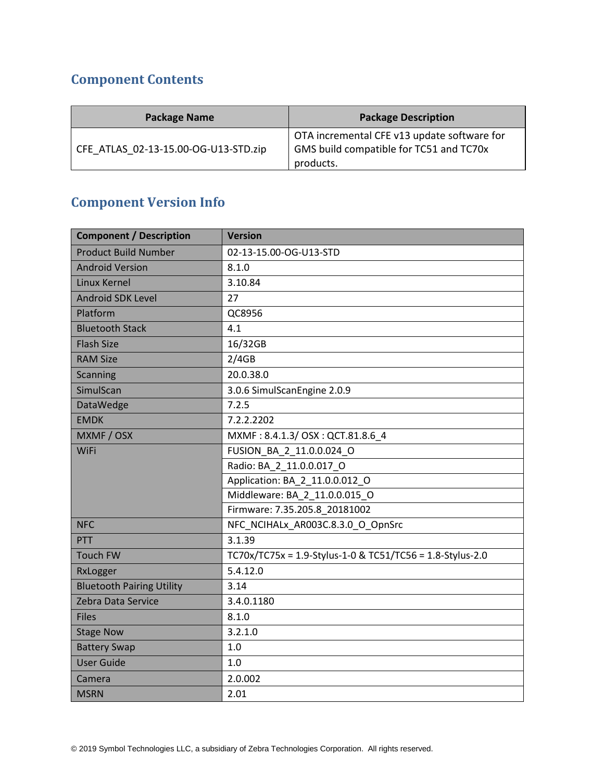## <span id="page-1-0"></span>**Component Contents**

| <b>Package Name</b>                  | <b>Package Description</b>                                                                          |
|--------------------------------------|-----------------------------------------------------------------------------------------------------|
| CFE ATLAS 02-13-15.00-OG-U13-STD.zip | OTA incremental CFE v13 update software for<br>GMS build compatible for TC51 and TC70x<br>products. |

## **Component Version Info**

| <b>Component / Description</b>   | <b>Version</b>                                            |  |
|----------------------------------|-----------------------------------------------------------|--|
| <b>Product Build Number</b>      | 02-13-15.00-OG-U13-STD                                    |  |
| <b>Android Version</b>           | 8.1.0                                                     |  |
| <b>Linux Kernel</b>              | 3.10.84                                                   |  |
| <b>Android SDK Level</b>         | 27                                                        |  |
| Platform                         | QC8956                                                    |  |
| <b>Bluetooth Stack</b>           | 4.1                                                       |  |
| <b>Flash Size</b>                | 16/32GB                                                   |  |
| <b>RAM Size</b>                  | 2/4GB                                                     |  |
| <b>Scanning</b>                  | 20.0.38.0                                                 |  |
| SimulScan                        | 3.0.6 SimulScanEngine 2.0.9                               |  |
| DataWedge                        | 7.2.5                                                     |  |
| <b>EMDK</b>                      | 7.2.2.2202                                                |  |
| MXMF / OSX                       | MXMF: 8.4.1.3/ OSX: QCT.81.8.6 4                          |  |
| <b>WiFi</b>                      | FUSION BA 2 11.0.0.024 O                                  |  |
|                                  | Radio: BA_2_11.0.0.017_O                                  |  |
|                                  | Application: BA_2_11.0.0.012 O                            |  |
|                                  | Middleware: BA 2 11.0.0.015 O                             |  |
|                                  | Firmware: 7.35.205.8 20181002                             |  |
| <b>NFC</b>                       | NFC_NCIHALx_AR003C.8.3.0_O_OpnSrc                         |  |
| PTT                              | 3.1.39                                                    |  |
| <b>Touch FW</b>                  | TC70x/TC75x = 1.9-Stylus-1-0 & TC51/TC56 = 1.8-Stylus-2.0 |  |
| RxLogger                         | 5.4.12.0                                                  |  |
| <b>Bluetooth Pairing Utility</b> | 3.14                                                      |  |
| Zebra Data Service               | 3.4.0.1180                                                |  |
| <b>Files</b>                     | 8.1.0                                                     |  |
| <b>Stage Now</b>                 | 3.2.1.0                                                   |  |
| <b>Battery Swap</b>              | 1.0                                                       |  |
| <b>User Guide</b>                | 1.0                                                       |  |
| Camera                           | 2.0.002                                                   |  |
| <b>MSRN</b>                      | 2.01                                                      |  |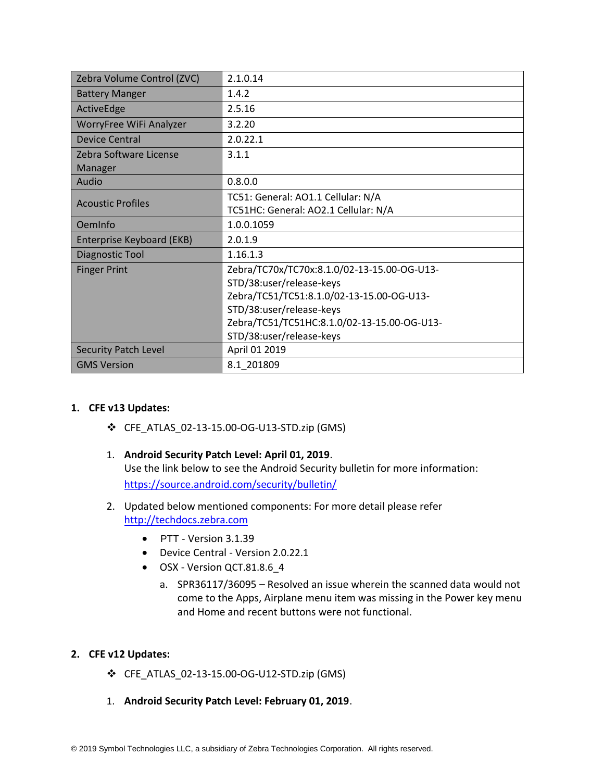| Zebra Volume Control (ZVC)       | 2.1.0.14                                    |  |
|----------------------------------|---------------------------------------------|--|
| <b>Battery Manger</b>            | 1.4.2                                       |  |
| ActiveEdge                       | 2.5.16                                      |  |
| WorryFree WiFi Analyzer          | 3.2.20                                      |  |
| <b>Device Central</b>            | 2.0.22.1                                    |  |
| Zebra Software License           | 3.1.1                                       |  |
| Manager                          |                                             |  |
| Audio                            | 0.8.0.0                                     |  |
|                                  | TC51: General: AO1.1 Cellular: N/A          |  |
| <b>Acoustic Profiles</b>         | TC51HC: General: AO2.1 Cellular: N/A        |  |
| OemInfo                          | 1.0.0.1059                                  |  |
| <b>Enterprise Keyboard (EKB)</b> | 2.0.1.9                                     |  |
| Diagnostic Tool                  | 1.16.1.3                                    |  |
| <b>Finger Print</b>              | Zebra/TC70x/TC70x:8.1.0/02-13-15.00-OG-U13- |  |
|                                  | STD/38:user/release-keys                    |  |
|                                  | Zebra/TC51/TC51:8.1.0/02-13-15.00-OG-U13-   |  |
|                                  | STD/38:user/release-keys                    |  |
|                                  | Zebra/TC51/TC51HC:8.1.0/02-13-15.00-OG-U13- |  |
|                                  | STD/38:user/release-keys                    |  |
| <b>Security Patch Level</b>      | April 01 2019                               |  |
| <b>GMS Version</b>               | 8.1 201809                                  |  |

#### **1. CFE v13 Updates:**

- ❖ CFE\_ATLAS\_02-13-15.00-OG-U13-STD.zip (GMS)
- 1. **Android Security Patch Level: April 01, 2019**. Use the link below to see the Android Security bulletin for more information: <https://source.android.com/security/bulletin/>
- 2. Updated below mentioned components: For more detail please refer [http://techdocs.zebra.com](http://techdocs.zebra.com/)
	- PTT Version 3.1.39
	- Device Central Version 2.0.22.1
	- OSX Version QCT.81.8.6\_4
		- a. SPR36117/36095 Resolved an issue wherein the scanned data would not come to the Apps, Airplane menu item was missing in the Power key menu and Home and recent buttons were not functional.

#### **2. CFE v12 Updates:**

- ❖ CFE\_ATLAS\_02-13-15.00-OG-U12-STD.zip (GMS)
- 1. **Android Security Patch Level: February 01, 2019**.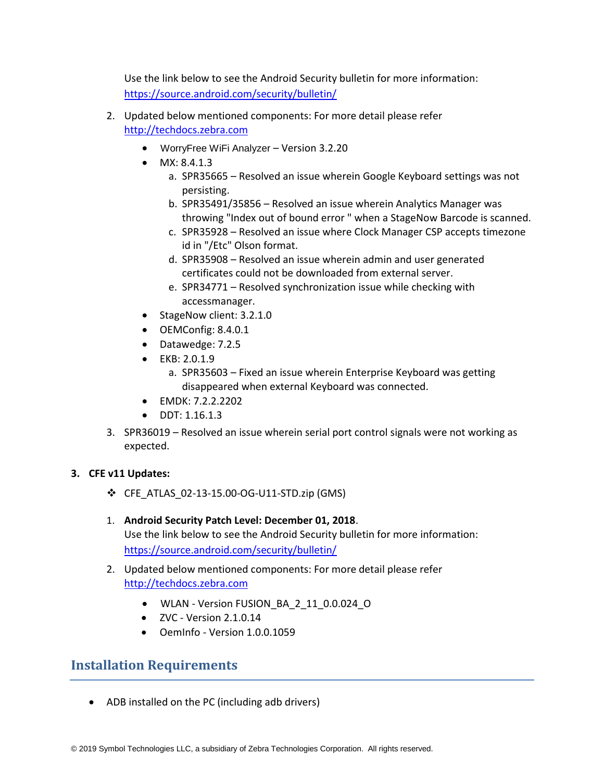Use the link below to see the Android Security bulletin for more information: <https://source.android.com/security/bulletin/>

- 2. Updated below mentioned components: For more detail please refer [http://techdocs.zebra.com](http://techdocs.zebra.com/)
	- WorryFree WiFi Analyzer Version 3.2.20
	- MX: 8.4.1.3
		- a. SPR35665 Resolved an issue wherein Google Keyboard settings was not persisting.
		- b. SPR35491/35856 Resolved an issue wherein Analytics Manager was throwing "Index out of bound error " when a StageNow Barcode is scanned.
		- c. SPR35928 Resolved an issue where Clock Manager CSP accepts timezone id in "/Etc" Olson format.
		- d. SPR35908 Resolved an issue wherein admin and user generated certificates could not be downloaded from external server.
		- e. SPR34771 Resolved synchronization issue while checking with accessmanager.
	- StageNow client: 3.2.1.0
	- OEMConfig: 8.4.0.1
	- Datawedge: 7.2.5
	- EKB: 2.0.1.9
		- a. SPR35603 Fixed an issue wherein Enterprise Keyboard was getting disappeared when external Keyboard was connected.
	- EMDK: 7.2.2.2202
	- DDT: 1.16.1.3
- 3. SPR36019 Resolved an issue wherein serial port control signals were not working as expected.

#### **3. CFE v11 Updates:**

- ❖ CFE\_ATLAS\_02-13-15.00-OG-U11-STD.zip (GMS)
- 1. **Android Security Patch Level: December 01, 2018**. Use the link below to see the Android Security bulletin for more information: <https://source.android.com/security/bulletin/>
- 2. Updated below mentioned components: For more detail please refer [http://techdocs.zebra.com](http://techdocs.zebra.com/)
	- WLAN Version FUSION\_BA\_2\_11\_0.0.024\_O
	- $\bullet$  ZVC Version 2.1.0.14
	- OemInfo Version 1.0.0.1059

## <span id="page-3-0"></span>**Installation Requirements**

• ADB installed on the PC (including adb drivers)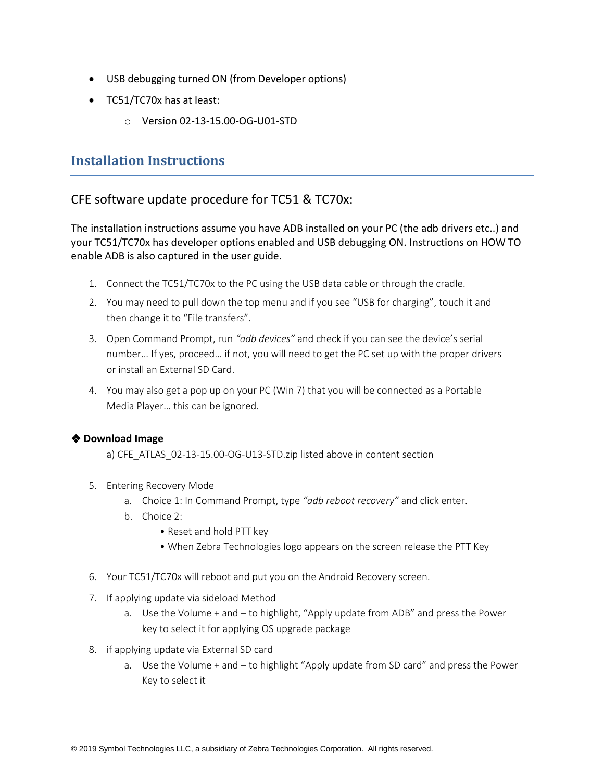- USB debugging turned ON (from Developer options)
- TC51/TC70x has at least:
	- o Version 02-13-15.00-OG-U01-STD

## <span id="page-4-0"></span>**Installation Instructions**

### CFE software update procedure for TC51 & TC70x:

The installation instructions assume you have ADB installed on your PC (the adb drivers etc..) and your TC51/TC70x has developer options enabled and USB debugging ON. Instructions on HOW TO enable ADB is also captured in the user guide.

- 1. Connect the TC51/TC70x to the PC using the USB data cable or through the cradle.
- 2. You may need to pull down the top menu and if you see "USB for charging", touch it and then change it to "File transfers".
- 3. Open Command Prompt, run *"adb devices"* and check if you can see the device's serial number… If yes, proceed… if not, you will need to get the PC set up with the proper drivers or install an External SD Card.
- 4. You may also get a pop up on your PC (Win 7) that you will be connected as a Portable Media Player… this can be ignored.

#### ❖ **Download Image**

a) CFE\_ATLAS\_02-13-15.00-OG-U13-STD.zip listed above in content section

- 5. Entering Recovery Mode
	- a. Choice 1: In Command Prompt, type *"adb reboot recovery"* and click enter.
	- b. Choice 2:
		- Reset and hold PTT key
		- When Zebra Technologies logo appears on the screen release the PTT Key
- 6. Your TC51/TC70x will reboot and put you on the Android Recovery screen.
- 7. If applying update via sideload Method
	- a. Use the Volume + and to highlight, "Apply update from ADB" and press the Power key to select it for applying OS upgrade package
- 8. if applying update via External SD card
	- a. Use the Volume + and to highlight "Apply update from SD card" and press the Power Key to select it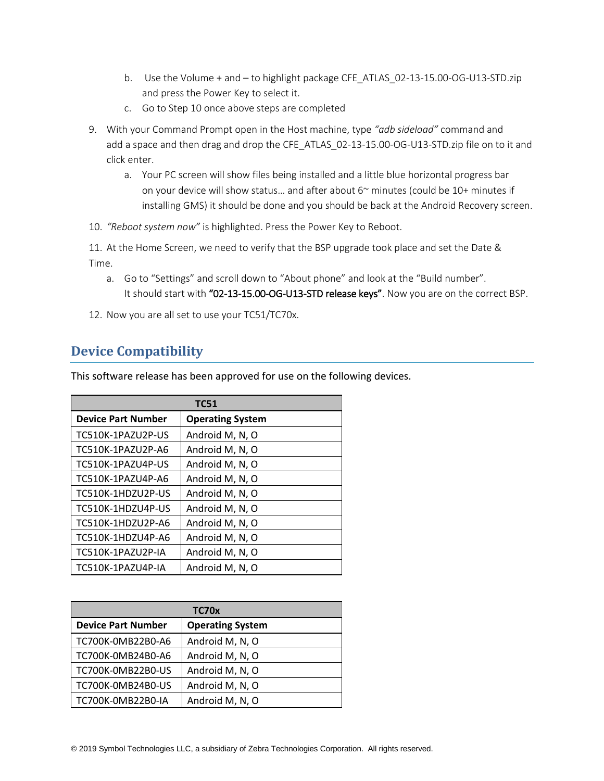- b. Use the Volume + and to highlight package CFE\_ATLAS\_02-13-15.00-OG-U13-STD.zip and press the Power Key to select it.
- c. Go to Step 10 once above steps are completed
- 9. With your Command Prompt open in the Host machine, type *"adb sideload"* command and add a space and then drag and drop the CFE\_ATLAS\_02-13-15.00-OG-U13-STD.zip file on to it and click enter.
	- a. Your PC screen will show files being installed and a little blue horizontal progress bar on your device will show status… and after about 6~ minutes (could be 10+ minutes if installing GMS) it should be done and you should be back at the Android Recovery screen.
- 10. *"Reboot system now"* is highlighted. Press the Power Key to Reboot.

11. At the Home Screen, we need to verify that the BSP upgrade took place and set the Date & Time.

- a. Go to "Settings" and scroll down to "About phone" and look at the "Build number". It should start with "02-13-15.00-OG-U13-STD release keys". Now you are on the correct BSP.
- 12. Now you are all set to use your TC51/TC70x.

## <span id="page-5-0"></span>**Device Compatibility**

This software release has been approved for use on the following devices.

| <b>TC51</b>               |                         |  |
|---------------------------|-------------------------|--|
| <b>Device Part Number</b> | <b>Operating System</b> |  |
| TC510K-1PAZU2P-US         | Android M, N, O         |  |
| TC510K-1PAZU2P-A6         | Android M, N, O         |  |
| TC510K-1PAZU4P-US         | Android M, N, O         |  |
| TC510K-1PAZU4P-A6         | Android M, N, O         |  |
| TC510K-1HDZU2P-US         | Android M, N, O         |  |
| TC510K-1HDZU4P-US         | Android M, N, O         |  |
| TC510K-1HDZU2P-A6         | Android M, N, O         |  |
| TC510K-1HDZU4P-A6         | Android M, N, O         |  |
| TC510K-1PAZU2P-IA         | Android M, N, O         |  |
| TC510K-1PAZU4P-IA         | Android M, N, O         |  |

| TC70x                     |                         |  |
|---------------------------|-------------------------|--|
| <b>Device Part Number</b> | <b>Operating System</b> |  |
| TC700K-0MB22B0-A6         | Android M, N, O         |  |
| TC700K-0MB24B0-A6         | Android M, N, O         |  |
| TC700K-0MB22B0-US         | Android M, N, O         |  |
| TC700K-0MB24B0-US         | Android M, N, O         |  |
| TC700K-0MB22B0-IA         | Android M, N, O         |  |